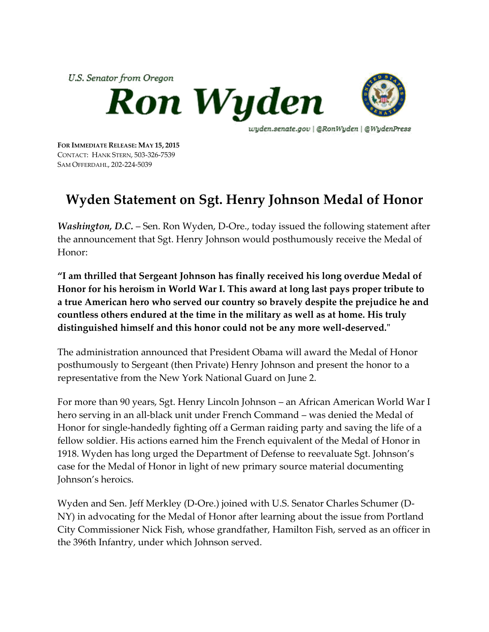

**FOR IMMEDIATE RELEASE: MAY 15, 2015** CONTACT: HANK STERN, 503-326-7539 SAM OFFERDAHL, 202-224-5039

## **Wyden Statement on Sgt. Henry Johnson Medal of Honor**

*Washington, D.C.* – Sen. Ron Wyden, D-Ore., today issued the following statement after the announcement that Sgt. Henry Johnson would posthumously receive the Medal of Honor:

**"I am thrilled that Sergeant Johnson has finally received his long overdue Medal of Honor for his heroism in World War I. This award at long last pays proper tribute to a true American hero who served our country so bravely despite the prejudice he and countless others endured at the time in the military as well as at home. His truly distinguished himself and this honor could not be any more well-deserved."**

The administration announced that President Obama will award the Medal of Honor posthumously to Sergeant (then Private) Henry Johnson and present the honor to a representative from the New York National Guard on June 2.

For more than 90 years, Sgt. Henry Lincoln Johnson – an African American World War I hero serving in an all-black unit under French Command – was denied the Medal of Honor for single-handedly fighting off a German raiding party and saving the life of a fellow soldier. His actions earned him the French equivalent of the Medal of Honor in 1918. Wyden has long urged the Department of Defense to reevaluate Sgt. Johnson's case for the Medal of Honor in light of new primary source material documenting Johnson's heroics.

Wyden and Sen. Jeff Merkley (D-Ore.) joined with U.S. Senator Charles Schumer (D-NY) in advocating for the Medal of Honor after learning about the issue from Portland City Commissioner Nick Fish, whose grandfather, Hamilton Fish, served as an officer in the 396th Infantry, under which Johnson served.